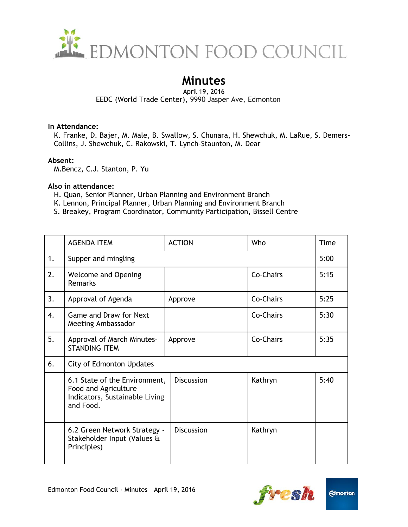

# **Minutes**

#### April 19, 2016 EEDC (World Trade Center), 9990 Jasper Ave, Edmonton

#### **In Attendance:**

K. Franke, D. Bajer, M. Male, B. Swallow, S. Chunara, H. Shewchuk, M. LaRue, S. Demers-Collins, J. Shewchuk, C. Rakowski, T. Lynch-Staunton, M. Dear

### **Absent:**

M.Bencz, C.J. Stanton, P. Yu

### **Also in attendance:**

- H. Quan, Senior Planner, Urban Planning and Environment Branch
- K. Lennon, Principal Planner, Urban Planning and Environment Branch
- S. Breakey, Program Coordinator, Community Participation, Bissell Centre

|    | <b>AGENDA ITEM</b>                                                                                   | <b>ACTION</b>     | Who       | Time |  |  |
|----|------------------------------------------------------------------------------------------------------|-------------------|-----------|------|--|--|
| 1. | Supper and mingling                                                                                  |                   |           | 5:00 |  |  |
| 2. | <b>Welcome and Opening</b><br><b>Remarks</b>                                                         |                   | Co-Chairs | 5:15 |  |  |
| 3. | Approval of Agenda                                                                                   | Approve           | Co-Chairs | 5:25 |  |  |
| 4. | Game and Draw for Next<br>Meeting Ambassador                                                         |                   | Co-Chairs | 5:30 |  |  |
| 5. | Approval of March Minutes-<br><b>STANDING ITEM</b>                                                   | Approve           | Co-Chairs | 5:35 |  |  |
| 6. | <b>City of Edmonton Updates</b>                                                                      |                   |           |      |  |  |
|    | 6.1 State of the Environment,<br>Food and Agriculture<br>Indicators, Sustainable Living<br>and Food. | <b>Discussion</b> | Kathryn   | 5:40 |  |  |
|    | 6.2 Green Network Strategy -<br>Stakeholder Input (Values &<br>Principles)                           | <b>Discussion</b> | Kathryn   |      |  |  |

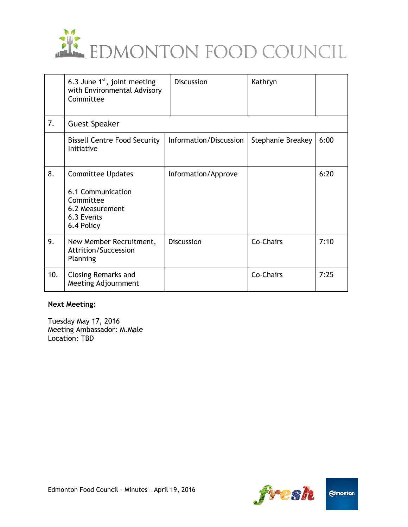

|     | 6.3 June $1st$ , joint meeting<br>with Environmental Advisory<br>Committee                                | <b>Discussion</b>      | Kathryn           |      |  |  |  |
|-----|-----------------------------------------------------------------------------------------------------------|------------------------|-------------------|------|--|--|--|
| 7.  | <b>Guest Speaker</b>                                                                                      |                        |                   |      |  |  |  |
|     | <b>Bissell Centre Food Security</b><br>Initiative                                                         | Information/Discussion | Stephanie Breakey | 6:00 |  |  |  |
| 8.  | <b>Committee Updates</b><br>6.1 Communication<br>Committee<br>6.2 Measurement<br>6.3 Events<br>6.4 Policy | Information/Approve    |                   | 6:20 |  |  |  |
| 9.  | New Member Recruitment,<br>Attrition/Succession<br>Planning                                               | <b>Discussion</b>      | Co-Chairs         | 7:10 |  |  |  |
| 10. | <b>Closing Remarks and</b><br>Meeting Adjournment                                                         |                        | Co-Chairs         | 7:25 |  |  |  |

#### **Next Meeting:**

Tuesday May 17, 2016 Meeting Ambassador: M.Male Location: TBD



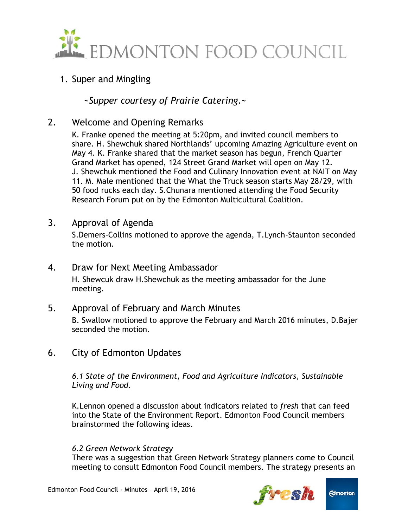

# 1. Super and Mingling

*~Supper courtesy of Prairie Catering.~*

2. Welcome and Opening Remarks

K. Franke opened the meeting at 5:20pm, and invited council members to share. H. Shewchuk shared Northlands' upcoming Amazing Agriculture event on May 4. K. Franke shared that the market season has begun, French Quarter Grand Market has opened, 124 Street Grand Market will open on May 12. J. Shewchuk mentioned the Food and Culinary Innovation event at NAIT on May 11. M. Male mentioned that the What the Truck season starts May 28/29, with 50 food rucks each day. S.Chunara mentioned attending the Food Security Research Forum put on by the Edmonton Multicultural Coalition.

3. Approval of Agenda

S.Demers-Collins motioned to approve the agenda, T.Lynch-Staunton seconded the motion.

4. Draw for Next Meeting Ambassador

H. Shewcuk draw H.Shewchuk as the meeting ambassador for the June meeting.

5. Approval of February and March Minutes

B. Swallow motioned to approve the February and March 2016 minutes, D.Bajer seconded the motion.

6. City of Edmonton Updates

*6.1 State of the Environment, Food and Agriculture Indicators, Sustainable Living and Food.*

K.Lennon opened a discussion about indicators related to *fresh* that can feed into the State of the Environment Report. Edmonton Food Council members brainstormed the following ideas.

### *6.2 Green Network Strategy*

There was a suggestion that Green Network Strategy planners come to Council meeting to consult Edmonton Food Council members. The strategy presents an

![](_page_2_Picture_17.jpeg)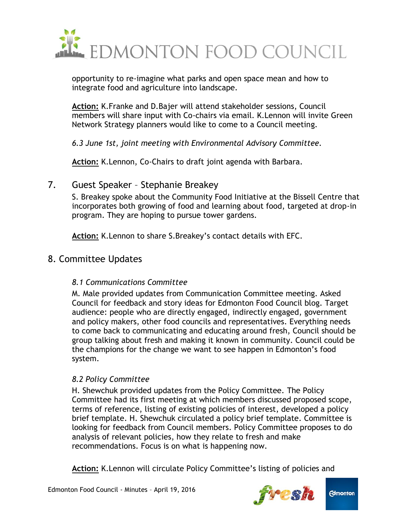![](_page_3_Picture_0.jpeg)

opportunity to re-imagine what parks and open space mean and how to integrate food and agriculture into landscape.

**Action:** K.Franke and D.Bajer will attend stakeholder sessions, Council members will share input with Co-chairs via email. K.Lennon will invite Green Network Strategy planners would like to come to a Council meeting.

*6.3 June 1st, joint meeting with Environmental Advisory Committee.*

**Action:** K.Lennon, Co-Chairs to draft joint agenda with Barbara.

## 7. Guest Speaker – Stephanie Breakey

S. Breakey spoke about the Community Food Initiative at the Bissell Centre that incorporates both growing of food and learning about food, targeted at drop-in program. They are hoping to pursue tower gardens.

**Action:** K.Lennon to share S.Breakey's contact details with EFC.

# 8. Committee Updates

### *8.1 Communications Committee*

M. Male provided updates from Communication Committee meeting. Asked Council for feedback and story ideas for Edmonton Food Council blog. Target audience: people who are directly engaged, indirectly engaged, government and policy makers, other food councils and representatives. Everything needs to come back to communicating and educating around fresh, Council should be group talking about fresh and making it known in community. Council could be the champions for the change we want to see happen in Edmonton's food system.

### *8.2 Policy Committee*

H. Shewchuk provided updates from the Policy Committee. The Policy Committee had its first meeting at which members discussed proposed scope, terms of reference, listing of existing policies of interest, developed a policy brief template. H. Shewchuk circulated a policy brief template. Committee is looking for feedback from Council members. Policy Committee proposes to do analysis of relevant policies, how they relate to fresh and make recommendations. Focus is on what is happening now.

**Action:** K.Lennon will circulate Policy Committee's listing of policies and

![](_page_3_Picture_14.jpeg)

![](_page_3_Picture_15.jpeg)